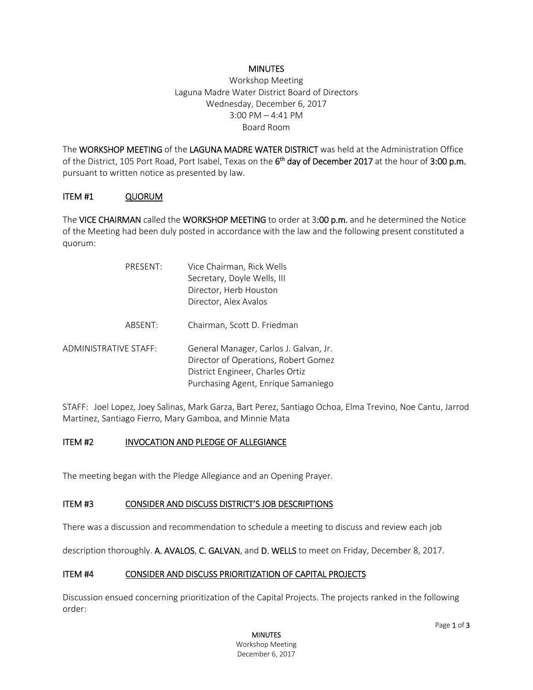## **MINUTES**

Workshop Meeting Laguna Madre Water District Board of Directors Wednesday, December 6, 2017 3:00 PM – 4:41 PM Board Room

The WORKSHOP MEETING of the LAGUNA MADRE WATER DISTRICT was held at the Administration Office of the District, 105 Port Road, Port Isabel, Texas on the  $6<sup>th</sup>$  day of December 2017 at the hour of 3:00 p.m. pursuant to written notice as presented by law.

## ITEM #1 QUORUM

The VICE CHAIRMAN called the WORKSHOP MEETING to order at 3:00 p.m. and he determined the Notice of the Meeting had been duly posted in accordance with the law and the following present constituted a quorum:

| PRESENT:              | Vice Chairman, Rick Wells<br>Secretary, Doyle Wells, III<br>Director, Herb Houston<br>Director, Alex Avalos                                               |
|-----------------------|-----------------------------------------------------------------------------------------------------------------------------------------------------------|
| ABSENT:               | Chairman, Scott D. Friedman                                                                                                                               |
| ADMINISTRATIVE STAFF: | General Manager, Carlos J. Galvan, Jr.<br>Director of Operations, Robert Gomez<br>District Engineer, Charles Ortiz<br>Purchasing Agent, Enrique Samaniego |

STAFF: Joel Lopez, Joey Salinas, Mark Garza, Bart Perez, Santiago Ochoa, Elma Trevino, Noe Cantu, Jarrod Martinez, Santiago Fierro, Mary Gamboa, and Minnie Mata

# ITEM #2 INVOCATION AND PLEDGE OF ALLEGIANCE

The meeting began with the Pledge Allegiance and an Opening Prayer.

## ITEM #3 CONSIDER AND DISCUSS DISTRICT'S JOB DESCRIPTIONS

There was a discussion and recommendation to schedule a meeting to discuss and review each job

description thoroughly. A. AVALOS, C. GALVAN, and D. WELLS to meet on Friday, December 8, 2017.

## ITEM #4 CONSIDER AND DISCUSS PRIORITIZATION OF CAPITAL PROJECTS

Discussion ensued concerning prioritization of the Capital Projects. The projects ranked in the following order: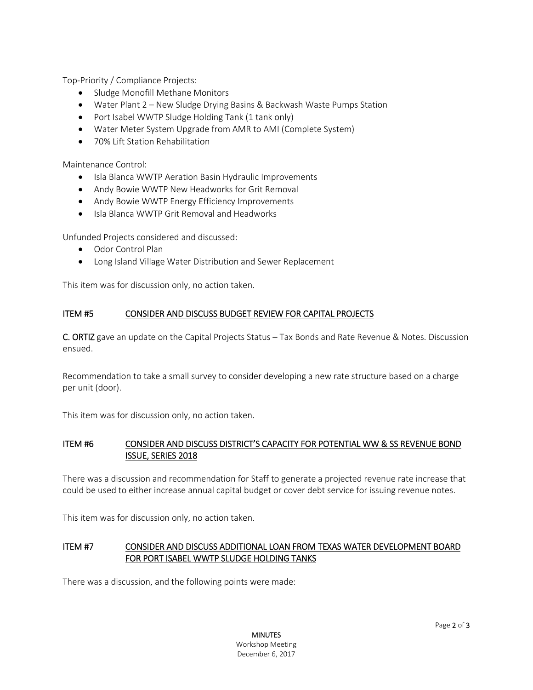Top-Priority / Compliance Projects:

- Sludge Monofill Methane Monitors
- Water Plant 2 New Sludge Drying Basins & Backwash Waste Pumps Station
- Port Isabel WWTP Sludge Holding Tank (1 tank only)
- Water Meter System Upgrade from AMR to AMI (Complete System)
- 70% Lift Station Rehabilitation

Maintenance Control:

- Isla Blanca WWTP Aeration Basin Hydraulic Improvements
- Andy Bowie WWTP New Headworks for Grit Removal
- Andy Bowie WWTP Energy Efficiency Improvements
- Isla Blanca WWTP Grit Removal and Headworks

Unfunded Projects considered and discussed:

- Odor Control Plan
- Long Island Village Water Distribution and Sewer Replacement

This item was for discussion only, no action taken.

## ITEM #5 CONSIDER AND DISCUSS BUDGET REVIEW FOR CAPITAL PROJECTS

C. ORTIZ gave an update on the Capital Projects Status – Tax Bonds and Rate Revenue & Notes. Discussion ensued.

Recommendation to take a small survey to consider developing a new rate structure based on a charge per unit (door).

This item was for discussion only, no action taken.

# ITEM #6 CONSIDER AND DISCUSS DISTRICT'S CAPACITY FOR POTENTIAL WW & SS REVENUE BOND ISSUE, SERIES 2018

There was a discussion and recommendation for Staff to generate a projected revenue rate increase that could be used to either increase annual capital budget or cover debt service for issuing revenue notes.

This item was for discussion only, no action taken.

## ITEM #7 CONSIDER AND DISCUSS ADDITIONAL LOAN FROM TEXAS WATER DEVELOPMENT BOARD FOR PORT ISABEL WWTP SLUDGE HOLDING TANKS

There was a discussion, and the following points were made: